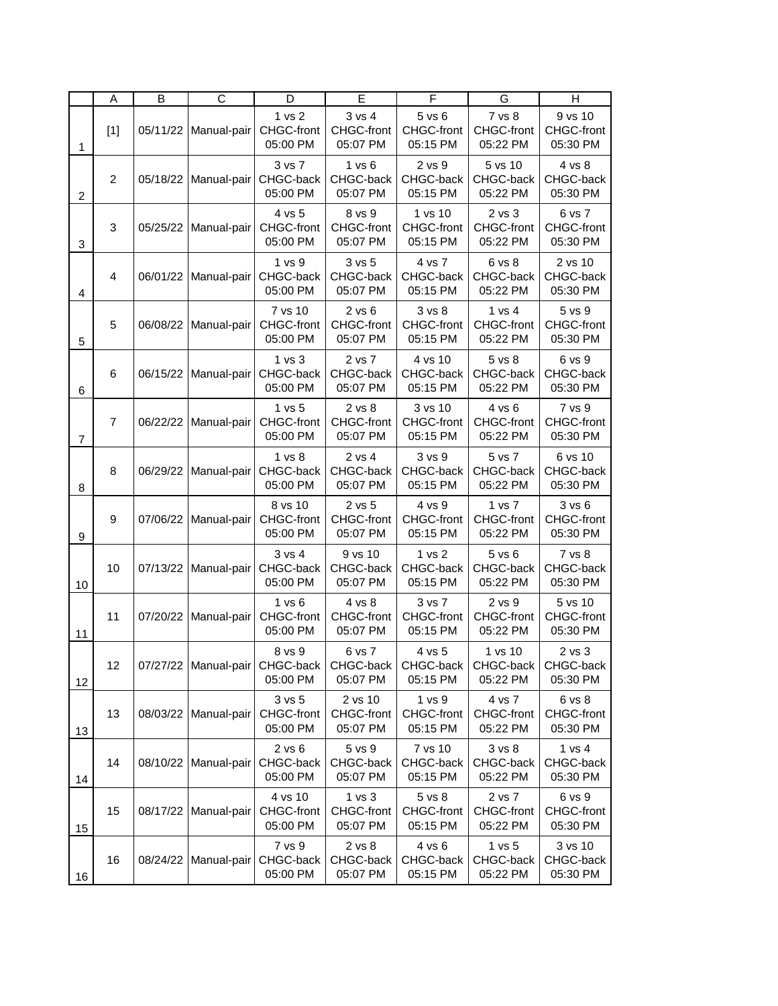|                | A                | B        | $\overline{C}$ | D                                          | E                                                  | F                                       | G                                          | н                                       |
|----------------|------------------|----------|----------------|--------------------------------------------|----------------------------------------------------|-----------------------------------------|--------------------------------------------|-----------------------------------------|
| $\mathbf{1}$   | $[1]$            | 05/11/22 | Manual-pair    | 1 vs 2<br>CHGC-front<br>05:00 PM           | 3 vs 4<br>CHGC-front<br>05:07 PM                   | $5$ vs $6$<br>CHGC-front<br>05:15 PM    | 7 vs 8<br>CHGC-front<br>05:22 PM           | 9 vs 10<br>CHGC-front<br>05:30 PM       |
| $\overline{2}$ | $\overline{c}$   | 05/18/22 | Manual-pair    | 3 vs 7<br>CHGC-back<br>05:00 PM            | 1 vs 6<br>CHGC-back<br>05:07 PM                    | 2 vs 9<br>CHGC-back<br>05:15 PM         | 5 vs 10<br>CHGC-back<br>05:22 PM           | 4 vs 8<br>CHGC-back<br>05:30 PM         |
| 3              | 3                | 05/25/22 | Manual-pair    | 4 vs 5<br>CHGC-front<br>05:00 PM           | 8 vs 9<br>CHGC-front<br>05:07 PM                   | 1 vs 10<br>CHGC-front<br>05:15 PM       | $2$ vs $3$<br>CHGC-front<br>05:22 PM       | 6 vs 7<br>CHGC-front<br>05:30 PM        |
| 4              | $\overline{4}$   | 06/01/22 | Manual-pair    | 1 vs 9<br>CHGC-back<br>05:00 PM            | 3 vs 5<br>CHGC-back<br>05:07 PM                    | 4 vs 7<br>CHGC-back<br>05:15 PM         | 6 vs 8<br>CHGC-back<br>05:22 PM            | 2 vs 10<br>CHGC-back<br>05:30 PM        |
| 5              | 5                | 06/08/22 | Manual-pair    | 7 vs 10<br>CHGC-front<br>05:00 PM          | $2$ vs $6$<br>CHGC-front<br>05:07 PM               | 3 vs 8<br>CHGC-front<br>05:15 PM        | 1 vs 4<br>CHGC-front<br>05:22 PM           | 5 vs 9<br>CHGC-front<br>05:30 PM        |
| 6              | 6                | 06/15/22 | Manual-pair    | 1 <sub>vs</sub> 3<br>CHGC-back<br>05:00 PM | 2 vs 7<br>CHGC-back<br>05:07 PM                    | 4 vs 10<br>CHGC-back<br>05:15 PM        | 5 vs 8<br>CHGC-back<br>05:22 PM            | 6 vs 9<br>CHGC-back<br>05:30 PM         |
| $\overline{7}$ | $\overline{7}$   | 06/22/22 | Manual-pair    | 1 vs 5<br>CHGC-front<br>05:00 PM           | 2 vs 8<br>CHGC-front<br>05:07 PM                   | 3 vs 10<br>CHGC-front<br>05:15 PM       | 4 vs 6<br>CHGC-front<br>05:22 PM           | 7 vs 9<br>CHGC-front<br>05:30 PM        |
| 8              | 8                | 06/29/22 | Manual-pair    | 1 vs 8<br>CHGC-back<br>05:00 PM            | 2 vs 4<br>CHGC-back<br>05:07 PM                    | 3 vs 9<br>CHGC-back<br>05:15 PM         | 5 vs 7<br>CHGC-back<br>05:22 PM            | 6 vs 10<br>CHGC-back<br>05:30 PM        |
| 9              | $\boldsymbol{9}$ | 07/06/22 | Manual-pair    | 8 vs 10<br>CHGC-front<br>05:00 PM          | 2 vs 5<br>CHGC-front<br>05:07 PM                   | 4 vs 9<br>CHGC-front<br>05:15 PM        | 1 vs 7<br>CHGC-front<br>05:22 PM           | 3 vs 6<br>CHGC-front<br>05:30 PM        |
| 10             | 10               | 07/13/22 | Manual-pair    | $3$ vs $4$<br>CHGC-back<br>05:00 PM        | 9 vs 10<br>CHGC-back<br>05:07 PM                   | 1 vs 2<br>CHGC-back<br>05:15 PM         | 5 vs 6<br>CHGC-back<br>05:22 PM            | 7 vs 8<br>CHGC-back<br>05:30 PM         |
| 11             | 11               | 07/20/22 | Manual-pair    | 1 vs 6<br>CHGC-front<br>05:00 PM           | 4 vs 8<br>CHGC-front<br>05:07 PM                   | 3 vs 7<br>CHGC-front<br>05:15 PM        | 2 vs 9<br>CHGC-front<br>05:22 PM           | 5 vs 10<br>CHGC-front<br>05:30 PM       |
| 12             | 12               | 07/27/22 | Manual-pair    | 8 vs 9<br>CHGC-back<br>05:00 PM            | 6 vs 7<br>CHGC-back<br>05:07 PM                    | 4 vs 5<br>CHGC-back<br>05:15 PM         | 1 vs 10<br>CHGC-back<br>05:22 PM           | 2 vs 3<br>CHGC-back<br>05:30 PM         |
| 13             | 13               | 08/03/22 | Manual-pair    | 3 vs 5<br>CHGC-front<br>05:00 PM           | 2 vs 10<br>CHGC-front<br>05:07 PM                  | 1 vs 9<br>CHGC-front<br>05:15 PM        | 4 vs 7<br>CHGC-front<br>05:22 PM           | 6 vs 8<br>CHGC-front<br>05:30 PM        |
| 14             | 14               | 08/10/22 | Manual-pair    | $2$ vs $6$<br>CHGC-back<br>05:00 PM        | 5 vs 9<br>CHGC-back<br>05:07 PM                    | 7 vs 10<br>CHGC-back<br>05:15 PM        | 3 <sub>vs</sub> 8<br>CHGC-back<br>05:22 PM | 1 vs 4<br>CHGC-back<br>05:30 PM         |
| 15             | 15               | 08/17/22 | Manual-pair    | 4 vs 10<br>CHGC-front<br>05:00 PM          | 1 <sub>vs</sub> 3<br><b>CHGC-front</b><br>05:07 PM | 5 vs 8<br><b>CHGC-front</b><br>05:15 PM | 2 vs 7<br><b>CHGC-front</b><br>05:22 PM    | 6 vs 9<br><b>CHGC-front</b><br>05:30 PM |
| 16             | 16               | 08/24/22 | Manual-pair    | 7 vs 9<br>CHGC-back<br>05:00 PM            | 2 vs 8<br>CHGC-back<br>05:07 PM                    | 4 vs 6<br>CHGC-back<br>05:15 PM         | 1 vs 5<br>CHGC-back<br>05:22 PM            | 3 vs 10<br>CHGC-back<br>05:30 PM        |